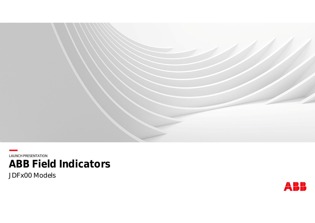

**—**LAUNCH PRESENTATION **ABB Field Indicators**

JDFx00 Models

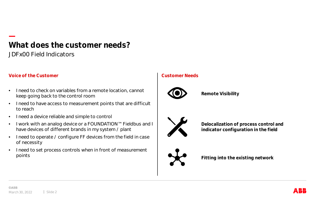## **— What does the customer needs?** JDFx00 Field Indicators

#### **Voice of the Customer Customer Needs**

- I need to check on variables from a remote location, cannot keep going back to the control room
- I need to have access to measurement points that are difficult to reach
- I need a device reliable and simple to control
- I work with an analog device or a FOUNDATION™ Fieldbus and I have devices of different brands in my system / plant
- I need to operate / configure FF devices from the field in case of necessity
- I need to set process controls when in front of measurement points



**Remote Visibility**



**Delocalization of process control and indicator configuration in the field**



**Fitting into the existing network**

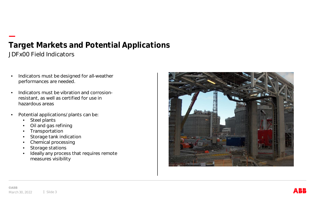## **— Target Markets and Potential Applications** JDFx00 Field Indicators

- Indicators must be designed for all-weather performances are needed.
- Indicators must be vibration and corrosionresistant, as well as certified for use in hazardous areas
- Potential applications/plants can be:
	- Steel plants
	- Oil and gas refining
	- Transportation
	- Storage tank indication
	- Chemical processing
	- Storage stations
	- Ideally any process that requires remote measures visibility

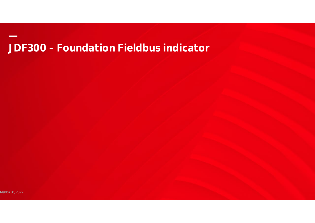# JDF300 - Foundation Fieldbus indicator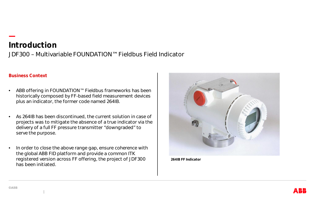## **— Introduction** JDF300 – Multivariable FOUNDATION™ Fieldbus Field Indicator

#### **Business Context**

- ABB offering in FOUNDATION™ Fieldbus frameworks has been historically composed by FF-based field measurement devices plus an indicator, the former code named 264IB.
- As 264IB has been discontinued, the current solution in case of projects was to mitigate the absence of a true indicator via the delivery of a full FF pressure transmitter "downgraded" to serve the purpose.
- In order to close the above range gap, ensure coherence with the global ABB FID platform and provide a common ITK registered version across FF offering, the project of JDF300 has been initiated.



**264IB FF Indicator**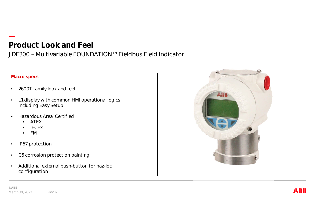## **— Product Look and Feel**

JDF300 – Multivariable FOUNDATION™ Fieldbus Field Indicator

#### **Macro specs**

- 2600T family look and feel
- L1 display with common HMI operational logics, including Easy Setup
- Hazardous Area Certified
	- ATEX
	- IECEx
	- FM
- IP67 protection
- C5 corrosion protection painting
- Additional external push-button for haz-loc configuration



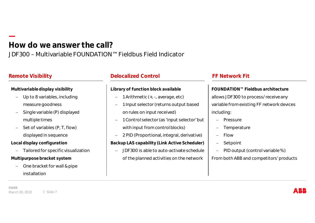## **— How do we answer the call?** JDF300 – Multivariable FOUNDATION™ Fieldbus Field Indicator

#### **Multivariable display visibility**

- Up to 8 variables, including measure goodness
- Single variable (P) displayed multiple times
- Set of variables (P, T, flow) displayed in sequence
- **Local display configuration**
	- Tailored for specific visualization
- **Multipurpose bracket system**
	- One bracket for wall & pipe installation

## **Remote Visibility Delocalized Control FF Network Fit**

#### **Library of function block available**

- 1 Arithmetic (+, -, average, etc)
- 1 Input selector (returns output based on rules on input received)
- 1 Control selector (as 'input selector' but with input from control blocks)
- 2 PID (Proportional, integral, derivative) **Backup LAS capability (Link Active Scheduler)**
	- JDF300 is able to auto-activate schedule of the planned activities on the network

**FOUNDATION™ Fieldbus architecture** allows JDF300 to process/receive any variable from existing FF network devices including:

- Pressure
- Temperature
- $-$  Flow
- Setpoint
- PID output (control variable %)

From both ABB and competitors' products

**©ABB** March 30, 2022 | Slide 7

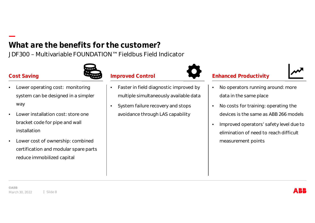## **— What are the benefits for the customer?** JDF300 – Multivariable FOUNDATION™ Fieldbus Field Indicator



## **Cost Saving**

- Lower operating cost: monitoring system can be designed in a simpler way
- Lower installation cost: store one bracket code for pipe and wall installation
- Lower cost of ownership: combined certification and modular spare parts reduce immobilized capital



## **Improved Control**

- Faster in field diagnostic improved by multiple simultaneously available data
- System failure recovery and stops avoidance through LAS capability



## **Enhanced Productivity**

- No operators running around: more data in the same place
- No costs for training: operating the devices is the same as ABB 266 models
- Improved operators' safety level due to elimination of need to reach difficult measurement points

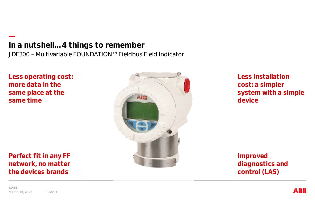**— In a nutshell…4 things to remember** JDF300 – Multivariable FOUNDATION™ Fieldbus Field Indicator

**Less operating cost: more data in the same place at the same time**

**Perfect fit in any FF network, no matter the devices brands**



**Less installation cost: a simpler system with a simple device**

**Improved diagnostics and control (LAS)**

**©ABB** March 30, 2022 | Slide 9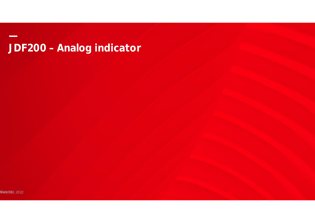JDF200 - Analog indicator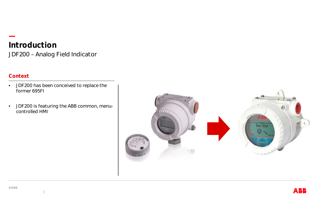## **— Introduction** JDF200 – Analog Field Indicator

### **Context**

- JDF200 has been conceived to replace the former 695FI
- JDF200 is featuring the ABB common, menucontrolled HMI

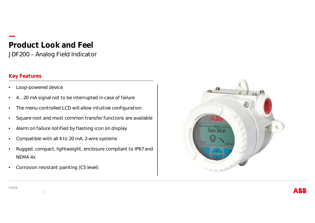## **— Product Look and Feel** JDF200 – Analog Field Indicator

## **Key Features**

- Loop-powered device
- 4…20 mA signal not to be interrupted in case of failure
- The menu-controlled LCD will allow intuitive configuration
- Square root and most common transfer functions are available
- Alarm on failure notified by flashing icon on display
- Compatible with all 4 to 20 mA, 2-wire systems
- Rugged, compact, lightweight, enclosure compliant to IP67 and NEMA 4x
- Corrosion resistant painting (C5 level)



**©ABB**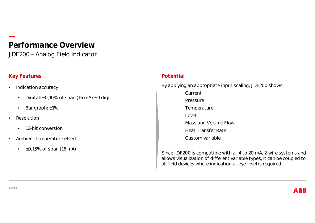## **— Performance Overview** JDF200 – Analog Field Indicator

## **Key Features** *Potential*

- Indication accuracy
	- Digital:  $\pm 0.10\%$  of span (16 mA)  $\pm 1$  digit
	- Bar graph: ±1%
- **Resolution** 
	- 16-bit conversion
- Ambient temperature effect
	- $\cdot$   $\pm$ 0,15% of span (16 mA)

By applying an appropriate input scaling, JDF200 shows: **Current** Pressure Temperature Level Mass and Volume Flow Heat Transfer Rate Custom variable

Since JDF200 is compatible with all 4 to 20 mA, 2-wire systems and allows visualization of different variable types, it can be coupled to all field devices where indication at eye-level is required.

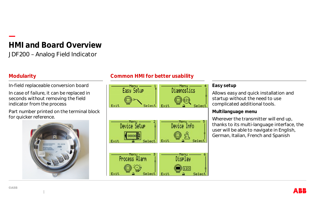## **— HMI and Board Overview** JDF200 – Analog Field Indicator

## **Modularity**

In-field replaceable conversion board In case of failure, it can be replaced in seconds without removing the field indicator from the process

Part number printed on the terminal block for quicker reference.



## **Common HMI for better usability**



#### **Easy setup**

Allows easy and quick installation and startup without the need to use complicated additional tools.

**Multilanguage menu**

Wherever the transmitter will end up, thanks to its multi-language interface, the user will be able to navigate in English, German, Italian, French and Spanish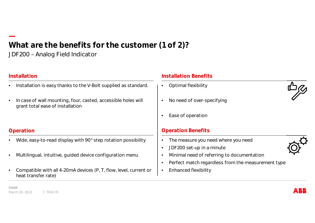## **— What are the benefits for the customer (1 of 2)?** JDF200 – Analog Field Indicator

#### **Installation**

- Installation is easy thanks to the V-Bolt supplied as standard.
- In case of wall mounting, four, casted, accessible holes will grant total ease of installation

### **Operation**

- Wide, easy-to-read display with 90° step rotation possibility
- Multilingual, intuitive, guided device configuration menu
- Compatible with all 4-20mA devices (P, T, flow, level, current or heat transfer rate)

### **Installation Benefits**

• Optimal flexibility

- No need of over-specifying
- Ease of operation

#### **Operation Benefits**

- The measure you need where you need
- JDF200 set-up in a minute
- Minimal need of referring to documentation
- Perfect match regardless from the measurement type
- Enhanced flexibility



**©ABB** March 30, 2022 | Slide 15

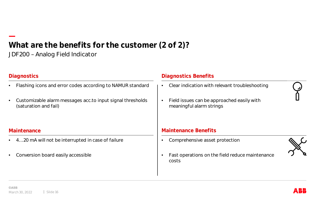## **— What are the benefits for the customer (2 of 2)?** JDF200 – Analog Field Indicator

### **Diagnostics**

- Flashing icons and error codes according to NAMUR standard
- Customizable alarm messages acc.to input signal thresholds (saturation and fail)

#### **Maintenance**

- 4…20 mA will not be interrupted in case of failure
- Conversion board easily accessible

#### **Diagnostics Benefits**

- Clear indication with relevant troubleshooting
- Field issues can be approached easily with meaningful alarm strings

#### **Maintenance Benefits**

• Comprehensive asset protection



• Fast operations on the field reduce maintenance costs